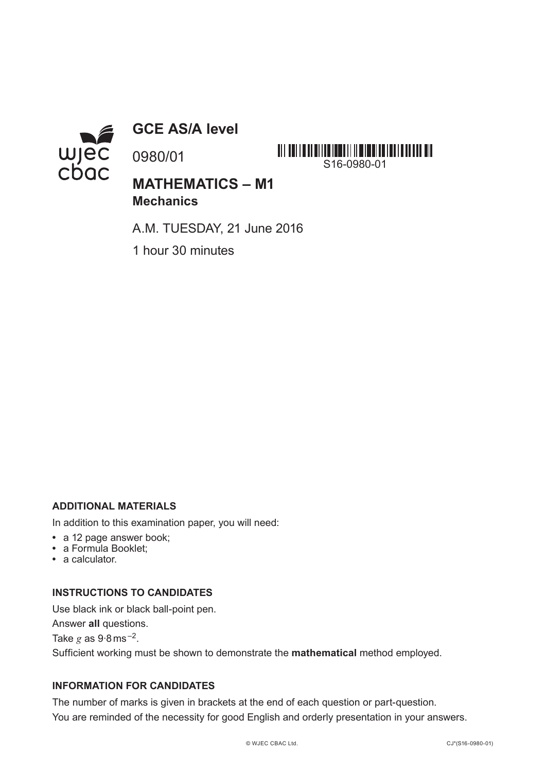

**GCE AS/A level**

0980/01



**MATHEMATICS – M1 Mechanics**

A.M. TUESDAY, 21 June 2016

1 hour 30 minutes

## **ADDITIONAL MATERIALS**

In addition to this examination paper, you will need:

- **•** a 12 page answer book;
- **•** a Formula Booklet;
- **•** a calculator.

## **INSTRUCTIONS TO CANDIDATES**

Use black ink or black ball-point pen. Answer **all** questions. Take  $g$  as  $9.8$  ms<sup> $-2$ </sup>. Sufficient working must be shown to demonstrate the **mathematical** method employed.

# **INFORMATION FOR CANDIDATES**

The number of marks is given in brackets at the end of each question or part-question. You are reminded of the necessity for good English and orderly presentation in your answers.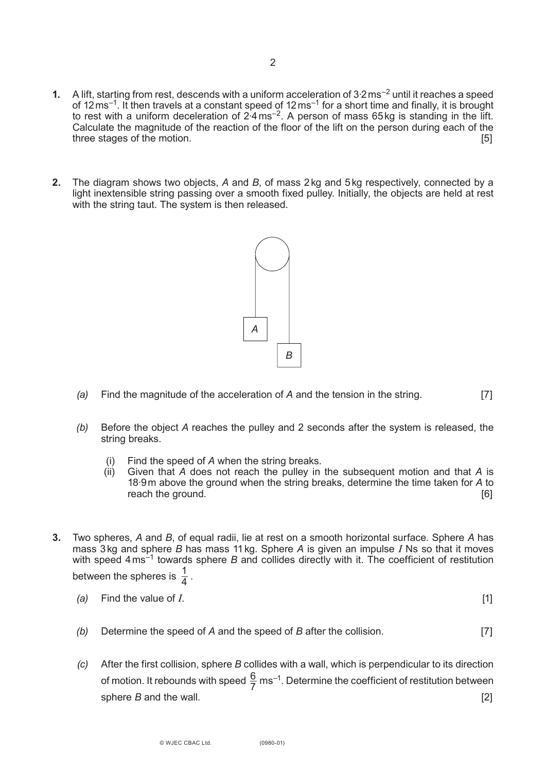- **1.** A lift, starting from rest, descends with a uniform acceleration of 3<sup>-2</sup> ms<sup>-2</sup> until it reaches a speed of 12ms<sup>-1</sup>. It then travels at a constant speed of 12ms<sup>-1</sup> for a short time and finally, it is brought to rest with a uniform deceleration of 2 $4 \text{ ms}^{-2}$ . A person of mass 65kg is standing in the lift. Calculate the magnitude of the reaction of the floor of the lift on the person during each of the three stages of the motion. **Example 20** is the motion of the motion. **[5]**
- **2.** The diagram shows two objects, *A* and *B*, of mass 2kg and 5kg respectively, connected by a light inextensible string passing over a smooth fixed pulley. Initially, the objects are held at rest with the string taut. The system is then released.



- *(a)* Find the magnitude of the acceleration of *A* and the tension in the string. [7]
- *(b)* Before the object *A* reaches the pulley and 2 seconds after the system is released, the string breaks.
	- (i) Find the speed of *A* when the string breaks.
	- (ii) Given that *A* does not reach the pulley in the subsequent motion and that *A* is 18·9m above the ground when the string breaks, determine the time taken for *A* to reach the ground. **Example 20** is a set of the ground of the ground of the ground of the ground of the ground of the ground of the ground of the ground of the ground of the ground of the ground of the ground of the ground
- **3.** Two spheres, *A* and *B*, of equal radii, lie at rest on a smooth horizontal surface. Sphere *A* has mass 3kg and sphere *B* has mass 11kg. Sphere *A* is given an impulse *I* Ns so that it moves with speed 4 ms<sup>-1</sup> towards sphere *B* and collides directly with it. The coefficient of restitution between the spheres is  $\frac{1}{4}$ . 4
	- *(a)* Find the value of *I*. [1]
		-
	- *(b)* Determine the speed of *A* and the speed of *B* after the collision. [7]
- *(c)* After the first collision, sphere *B* collides with a wall, which is perpendicular to its direction of motion. It rebounds with speed  $\frac{6}{7}$  ms<sup>-1</sup>. Determine the coefficient of restitution between sphere *B* and the wall. **Example 20** and the wall. **Example 20 and the wall. EXAMPLE 20 and the wall. EXAMPLE 20 and the wall. EXAMPLE 20 and the wall. EXAMPLE 20 and the wall. EXAMPLE 20 and the wal** 7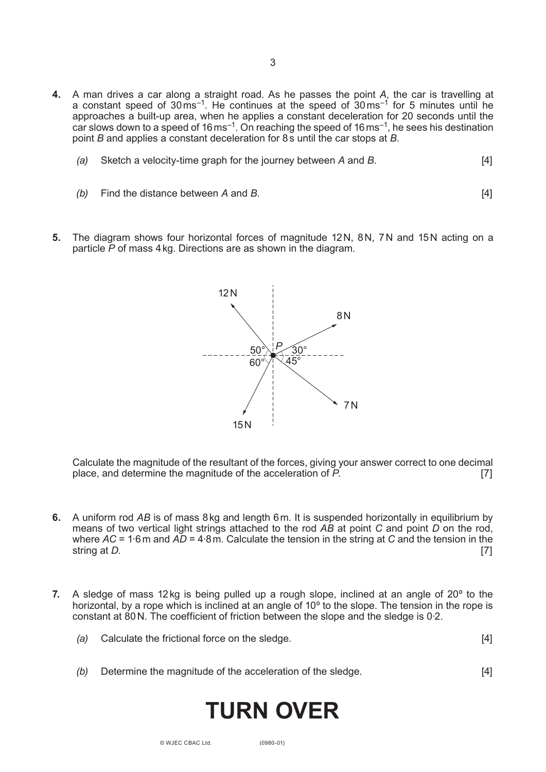- **4.** A man drives a car along a straight road. As he passes the point *A*, the car is travelling at a constant speed of  $30 \text{ ms}^{-1}$ . He continues at the speed of  $30 \text{ ms}^{-1}$  for 5 minutes until he approaches a built-up area, when he applies a constant deceleration for 20 seconds until the car slows down to a speed of 16 ms<sup>-1</sup>. On reaching the speed of 16 ms<sup>-1</sup>, he sees his destination point *B* and applies a constant deceleration for 8s until the car stops at *B*.
	- *(a)* Sketch a velocity-time graph for the journey between *A* and *B*. [4]
	- *(b)* Find the distance between *A* and *B*. [4]
- **5.** The diagram shows four horizontal forces of magnitude 12N, 8N, 7N and 15N acting on a particle *P* of mass 4kg. Directions are as shown in the diagram.



Calculate the magnitude of the resultant of the forces, giving your answer correct to one decimal place, and determine the magnitude of the acceleration of *P*. [7]

- **6.** A uniform rod *AB* is of mass 8kg and length 6m. It is suspended horizontally in equilibrium by means of two vertical light strings attached to the rod *AB* at point *C* and point *D* on the rod, where *AC* = 1·6m and *AD* = 4·8m. Calculate the tension in the string at *C* and the tension in the string at *D*. [7]
- **7.** A sledge of mass 12kg is being pulled up a rough slope, inclined at an angle of 20º to the horizontal, by a rope which is inclined at an angle of 10º to the slope. The tension in the rope is constant at 80N. The coefficient of friction between the slope and the sledge is 0·2.

| (a) Calculate the frictional force on the sledge. |  |
|---------------------------------------------------|--|
|---------------------------------------------------|--|

*(b)* Determine the magnitude of the acceleration of the sledge. [4]

# **TURN OVER**